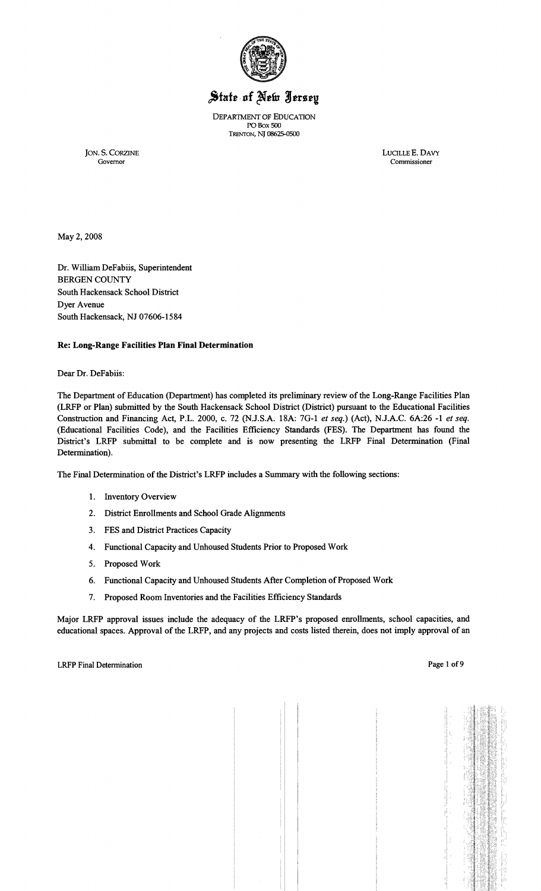

# State of New Jersey

DEPARTMENT OF EDUCATION POBox 500 TRENTON, NJ 08625-0500

JON. S. CORZINE LUCILLE E. DAVY Governor Commissioner Commissioner

May 2, 2008

Dr. William DeFabiis, Superintendent BERGEN COUNTY South Hackensack School District Dyer Avenue South Hackensack, NJ 07606-1584

## Re: Long-Range Facilities Plan Final Determination

Dear Dr. DeFabiis:

The Department of Education (Department) has completed its preliminary review of the Long-Range Facilities Plan (LRFP or Plan) submitted by the South Hackensack School District (District) pursuant to the Educational Facilities Construction and Financing Act, P.L. 2000, c. 72 (N.J.S.A. 18A: 7G-I *et seq.)* (Act), N.J.A.C. 6A:26 -I *et seq.*  (Educational Facilities Code), and the Facilities Efficiency Standards (FES). The Department has found the District's LRFP submittal to be complete and is now presenting the LRFP Final Determination (Final Determination).

The Final Determination of the District's LRFP includes a Summary with the following sections:

- I. Inventory Overview
- 2. District Enrollments and School Grade Alignments
- 3. FES and District Practices Capacity
- 4. Functional Capacity and Unhoused Students Prior to Proposed Work
- 5. Proposed Work
- 6. Functional Capacity and Unhoused Students After Completion of Proposed Work
- 7. Proposed Room Inventories and the Facilities Efficiency Standards

Major LRFP approval issues include the adequacy of the LRFP's proposed emollments, school capacities, and educational spaces. Approval of the LRFP, and any projects and costs listed therein, does not imply approval of an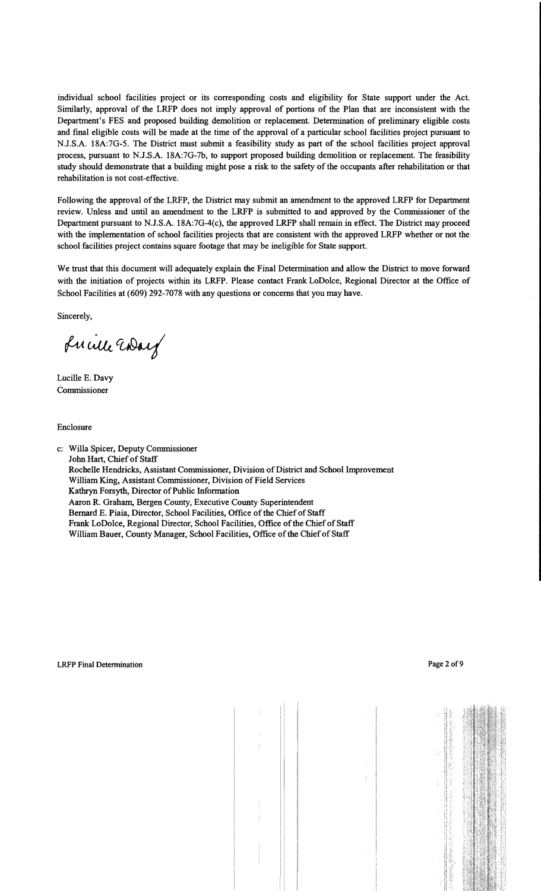individual school facilities project or its corresponding costs and eligibility for State support under the Act. Similarly, approval of the LRFP does not imply approval of portions of the Plan that are inconsistent with the Department's FES and proposed building demolition or replacement. Determination of preliminary eligible costs and final eligible costs will be made at the time of the approval of a particular school facilities project pursuant to N.J.S.A. 18A:7G-5. The District must submit a feasibility study as part of the school facilities project approval process, pursuant to N.J.S.A. 18A:7G-7b, to support proposed building demolition or replacement. The feasibility study should demonstrate that a building might pose a risk to the safety of the occupants after rehabilitation or that rehabilitation is not cost-effective.

Following the approval of the LRFP, the District may submit an amendment to the approved LRFP for Department review. Unless and until an amendment to the LRFP is submitted to and approved by the Commissioner of the Department pursuant to N.J.S.A. 18A:7G-4(c), the approved LRFP shall remain in effect. The District may proceed with the implementation of school facilities projects that are consistent with the approved LRFP whether or not the school facilities project contains square footage that may be ineligible for State support.

We trust that this document will adequately explain the Final Determination and allow the District to move forward with the initiation of projects within its LRFP. Please contact Frank LoDolce, Regional Director at the Office of School Facilities at (609) 292-7078 with any questions or concerns that you may have.

Sincerely,

Lucille Way

Lucille E. Davy Commissioner

Enclosure

c: Willa Spicer, Deputy Commissioner John Hart, Chief of Staff Rochelle Hendricks, Assistant Commissioner, Division of District and School Improvement William King, Assistant Commissioner, Division of Field Services Kathryn Forsyth, Director of Public Information Aaron R. Graham, Bergen County, Executive County Superintendent Bernard E. Piaia, Director, School Facilities, Office of the Chief of Staff Frank LoDolce, Regional Director, School Facilities, Office of the Chief of Staff William Bauer, County Manager, School Facilities, Office of the Chief of Staff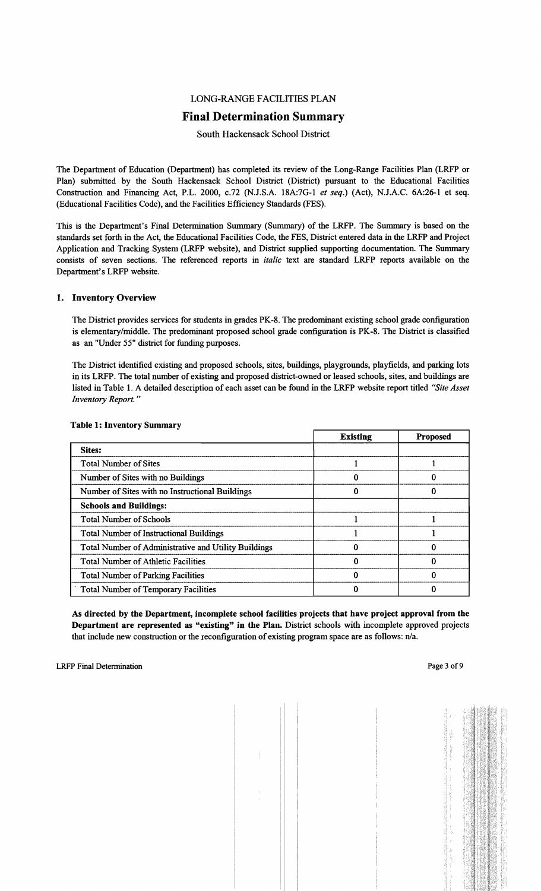## LONG-RANGE FACILITIES PLAN

## Final Determination Summary

## South Hackensack School District

The Department of Education (Department) has completed its review of the Long-Range Facilities Plan (LRFP or Plan) submitted by the South Hackensack School District (District) pursuant to the Educational Facilities Construction and Financing Act, P.L. 2000, c.72 (N.J.S.A. 18A:7G-l *et seq.)* (Act), N.J.A.C. 6A:26-1 et seq. (Educational Facilities Code), and the Facilities Efficiency Standards (FES).

This is the Department's Final Determination Summary (Summary) of the LRFP. The Summary is based on the standards set forth in the Act, the Educational Facilities Code, the FES, District entered data in the LRFP and Project Application and Tracking System (LRFP website), and District supplied supporting documentation. The Summary consists of seven sections. The referenced reports in *italic* text are standard LRFP reports available on the Department's LRFP website.

## 1. Inventory Overview

The District provides services for students in grades PK-8. The predominant existing school grade configuration is elementary/middle. The predominant proposed school grade configuration is PK-8. The District is classified as an "Under 55" district for funding purposes.

The District identified existing and proposed schools, sites, buildings, playgrounds, playfields, and parking lots in its LRFP. The total number of existing and proposed district-owned or leased schools, sites, and buildings are listed in Table 1. A detailed description of each asset can be found in the LRFP website report titled *"Site Asset Inventory Report. "* 

|                                                      | <b>Existing</b> | <b>Proposed</b> |
|------------------------------------------------------|-----------------|-----------------|
| Sites:                                               |                 |                 |
| <b>Total Number of Sites</b>                         |                 |                 |
| Number of Sites with no Buildings                    |                 |                 |
| Number of Sites with no Instructional Buildings      |                 |                 |
| <b>Schools and Buildings:</b>                        |                 |                 |
| <b>Total Number of Schools</b>                       |                 |                 |
| <b>Total Number of Instructional Buildings</b>       |                 |                 |
| Total Number of Administrative and Utility Buildings |                 |                 |
| <b>Total Number of Athletic Facilities</b>           |                 |                 |
| <b>Total Number of Parking Facilities</b>            |                 |                 |
| <b>Total Number of Temporary Facilities</b>          |                 |                 |

#### Table 1: Inventory Summary

As directed by the Department, incomplete school facilities projects that have project approval from the Department are represented as "existing" in the Plan. District schools with incomplete approved projects that include new construction or the reconfiguration of existing program space are as follows: n/a.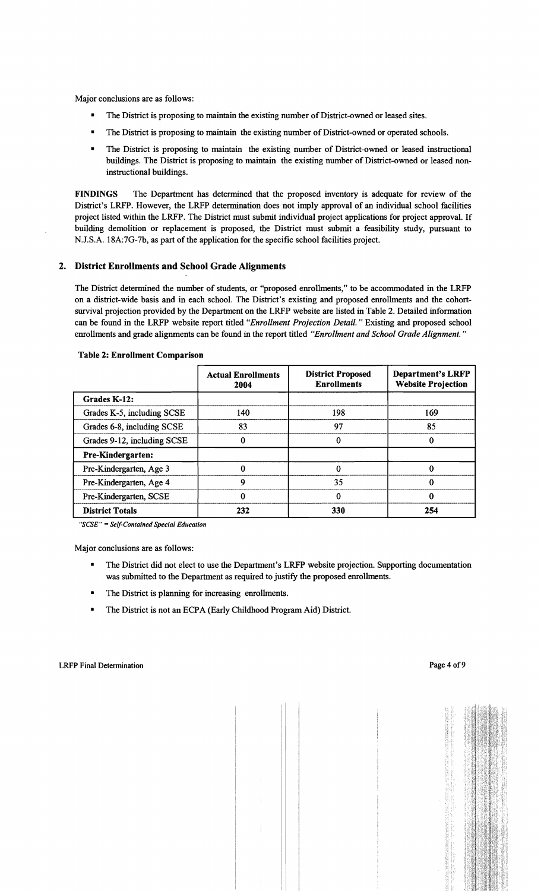Major conclusions are as follows:

- The District is proposing to maintain the existing number of District-owned or leased sites.
- The District is proposing to maintain the existing number of District-owned or operated schools.
- The District is proposing to maintain the existing number of District-owned or leased instructional buildings. The District is proposing to maintain the existing number of District-owned or leased noninstructional buildings.

FINDINGS The Department has determined that the proposed inventory is adequate for review of the District's LRFP. However, the LRFP determination does not imply approval of an individual school facilities project listed within the LRFP. The District must submit individual project applications for project approval. If building demolition or replacement is proposed, the District must submit a feasibility study, pursuant to N.J.S.A. 18A:7G-7b, as part of the application for the specific school facilities project.

## 2. District Enrollments and School Grade Alignments

The District determined the number of students, or "proposed enrollments," to be accommodated in the LRFP on a district-wide basis and in each school. The District's existing and proposed enrollments and the cohortsurvival projection provided by the Department on the LRFP website are listed in Table 2. Detailed information can be found in the LRFP website report titled *"Enrollment Projection Detail."* Existing and proposed school enrollments and grade alignments can be found in the report titled *"Enrollment and School Grade Alignment. "* 

|                             | <b>Actual Enrollments</b><br>2004 | <b>District Proposed</b><br><b>Enrollments</b> | <b>Department's LRFP</b><br><b>Website Projection</b> |
|-----------------------------|-----------------------------------|------------------------------------------------|-------------------------------------------------------|
| Grades K-12:                |                                   |                                                |                                                       |
| Grades K-5, including SCSE  | 140                               | 198                                            | 169                                                   |
| Grades 6-8, including SCSE  | 83                                | 97                                             | 85                                                    |
| Grades 9-12, including SCSE |                                   |                                                | 0                                                     |
| <b>Pre-Kindergarten:</b>    |                                   |                                                |                                                       |
| Pre-Kindergarten, Age 3     |                                   |                                                |                                                       |
| Pre-Kindergarten, Age 4     | 9                                 | 35                                             | 0                                                     |
| Pre-Kindergarten, SCSE      | 0                                 | 0                                              | 0                                                     |
| <b>District Totals</b>      | 232                               | 330                                            | 254                                                   |

#### Table 2: Enrollment Comparison

"SCSE" = Self-Contained Special Education

Major conclusions are as follows:

- The District did not elect to use the Department's LRFP website projection. Supporting documentation was submitted to the Department as required to justify the proposed enrollments.
- The District is planning for increasing enrollments.
- **•** The District is not an ECPA (Early Childhood Program Aid) District.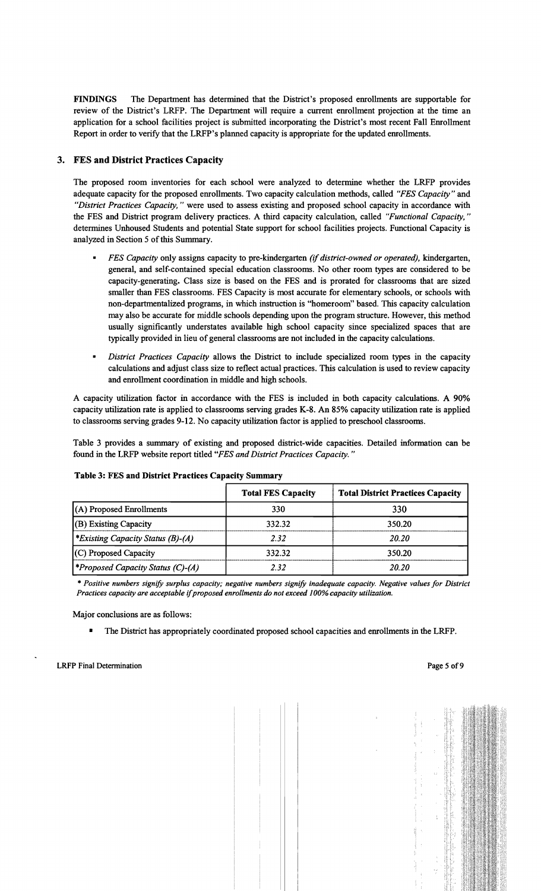FINDINGS The Department has determined that the District's proposed enrollments are supportable for review of the District's LRFP. The Department will require a current enrollment projection at the time an application for a school facilities project is submitted incorporating the District's most recent Fall Enrollment Report in order to verify that the LRFP's planned capacity is appropriate for the updated enrollments.

## 3. FES and District Practices Capacity

The proposed room inventories for each school were analyzed to determine whether the LRFP provides adequate capacity for the proposed enrollments. Two capacity calculation methods, called *"FES Capacity"* and *"District Practices Capacity,* " were used to assess existing and proposed school capacity in accordance with the FES and District program delivery practices. A third capacity calculation, called *"Functional Capacity, "*  determines Unhoused Students and potential State support for school facilities projects. Functional Capacity is analyzed in Section 5 of this Summary.

- *• FES Capacity* only assigns capacity to pre-kindergarten *(if district-owned or operated),* kindergarten, general, and self-contained special education classrooms. No other room types are considered to be capacity-generating. Class size is based on the FES and is prorated for classrooms that are sized smaller than FES classrooms. FES Capacity is most accurate for elementary schools, or schools with non-departmentalized programs, in which instruction is "homeroom" based. This capacity calculation may also be accurate for middle schools depending upon the program structure. However, this method usually significantly understates available high school capacity since specialized spaces that are typically provided in lieu of general classrooms are not included in the capacity calculations.
- *District Practices Capacity* allows the District to include specialized room types in the capacity calculations and adjust class size to reflect actual practices. This calculation is used to review capacity and enrollment coordination in middle and high schools.

A capacity utilization factor in accordance with the FES is included in both capacity calculations. A 90% capacity utilization rate is applied to classrooms serving grades K-8. An 85% capacity utilization rate is applied to classrooms serving grades 9-12. No capacity utilization factor is applied to preschool classrooms.

Table 3 provides a summary of existing and proposed district-wide capacities. Detailed information can be found in the LRFP website report titled *"FES and District Practices Capacity. "* 

| Table 3: FES and District Practices Capacity Summary |                           |                                          |  |  |
|------------------------------------------------------|---------------------------|------------------------------------------|--|--|
|                                                      | <b>Total FES Capacity</b> | <b>Total District Practices Capacity</b> |  |  |
| $(A)$ Proposed Enrollments                           | 330                       | 330                                      |  |  |
| (B) Existing Capacity                                | 332.32                    | 350.20                                   |  |  |
| <i>*Existing Capacity Status (B)-(A)</i>             | 2.32                      | 20.20                                    |  |  |
| (C) Proposed Capacity                                | 332.32                    | 350.20                                   |  |  |
| <i><b>*Proposed Capacity Status (C)-(A)</b></i>      | 2.32                      | 20.20                                    |  |  |

#### Table 3: FES and District Practices Capacity Summary

*• Positive numbers signify surplus capacity; negative numbers signify inadequate capacity. Negative values for District Practices capacity are acceptable ifproposed enrollments do not exceed 100% capacity utilization.* 

Major conclusions are as follows:

The District has appropriately coordinated proposed school capacities and enrollments in the LRFP.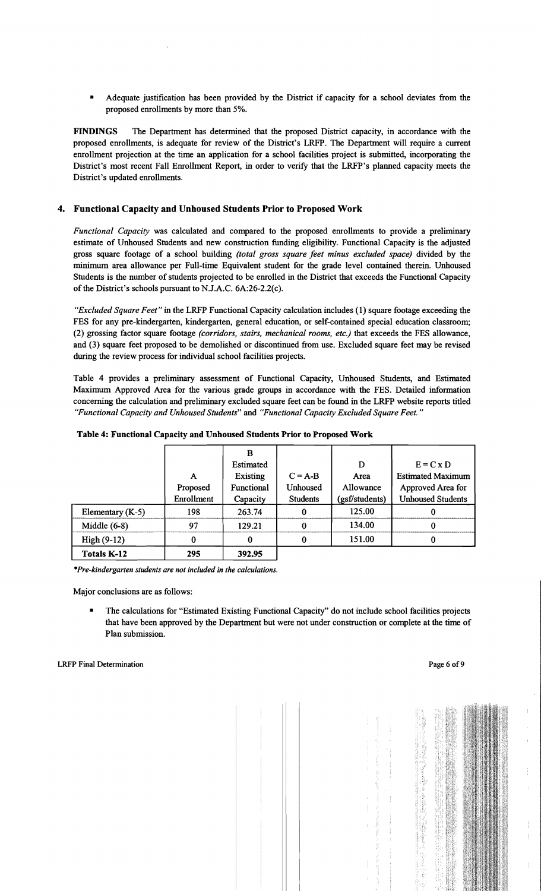• Adequate justification has been provided by the District if capacity for a school deviates from the proposed enrollments by more than 5%.

FINDINGS The Department has determined that the proposed District capacity, in accordance with the proposed enrollments, is adequate for review of the District's LRFP. The Department will require a current enrollment projection at the time an application for a school facilities project is submitted, incorporating the District's most recent Fall Enrollment Report, in order to verify that the LRFP's planned capacity meets the District's updated enrollments.

## 4. Functional Capacity and Unhoused Students Prior to Proposed Work

*Functional Capacity* was calculated and compared to the proposed enrollments to provide a preliminary estimate of Unhoused Students and new construction funding eligibility. Functional Capacity is the adjusted gross square footage of a school building *(total gross square feet minus excluded space)* divided by the minimum area allowance per Full-time Equivalent student for the grade level contained therein. Unhoused Students is the number of students projected to be enrolled in the District that exceeds the Functional Capacity of the District's schools pursuant to N.J.A.C. 6A:26-2.2(c).

*"Excluded Square Feet"* in the LRFP Functional Capacity calculation includes (1) square footage exceeding the FES for any pre-kindergarten, kindergarten, general education, or self-contained special education classroom; (2) grossing factor square footage *(corridors, stairs, mechanical rooms, etc.)* that exceeds the FES allowance, and (3) square feet proposed to be demolished or discontinued from use. Excluded square feet may be revised during the review process for individual school facilities projects.

Table 4 provides a preliminary assessment of Functional Capacity, Unhoused Students, and Estimated Maximum Approved Area for the various grade groups in accordance with the FES. Detailed information concerning the calculation and preliminary excluded square feet can be found in the LRFP website reports titled *"Functional Capacity and Unhoused Students"* and *"Functional Capacity Excluded Square Feet."* 

|                    |            | в          |                 |                |                          |
|--------------------|------------|------------|-----------------|----------------|--------------------------|
|                    |            | Estimated  |                 | D              | $E = C x D$              |
|                    | A          | Existing   | $C = A-B$       | Area           | <b>Estimated Maximum</b> |
|                    | Proposed   | Functional | <b>Unhoused</b> | Allowance      | Approved Area for        |
|                    | Enrollment | Capacity   | <b>Students</b> | (gsf/students) | <b>Unhoused Students</b> |
| Elementary (K-5)   | 198        | 263.74     |                 | 125.00         |                          |
| Middle $(6-8)$     | 97         | 129.21     |                 | 134.00         |                          |
| $High(9-12)$       | 0          | 0          |                 | 151.00         |                          |
| <b>Totals K-12</b> | 295        | 392.95     |                 |                |                          |

Table 4: Functional Capacity and Unhoused Students Prior to Proposed Work

*\*Pre-kindergarten students are not included in the calculations.* 

Major conclusions are as follows:

The calculations for "Estimated Existing Functional Capacity" do not include school facilities projects that have been approved by the Department but were not under construction or complete at the time of Plan submission.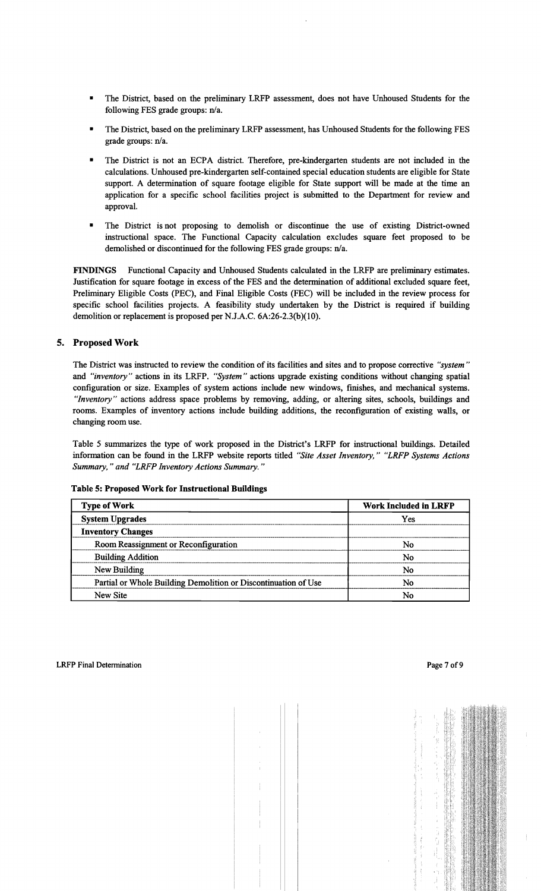- The District, based on the preliminary LRFP assessment, does not have Unhoused Students for the following FES grade groups: n/a.
- The District, based on the preliminary LRFP assessment, has Unhoused Students for the following FES grade groups: n/a.
- The District is not an ECPA district. Therefore, pre-kindergarten students are not included in the calculations. Unhoused pre-kindergarten self-contained special education students are eligible for State support. A determination of square footage eligible for State support will be made at the time an application for a specific school facilities project is submitted to the Department for review and approval.
- The District is not proposing to demolish or discontinue the use of existing District-owned instructional space. The Functional Capacity calculation excludes square feet proposed to be demolished or discontinued for the following FES grade groups: n/a.

FINDINGS Functional Capacity and Unhoused Students calculated in the LRFP are preliminary estimates. Justification for square footage in excess of the FES and the determination of additional excluded square feet, Preliminary Eligible Costs (PEC), and Final Eligible Costs (FEC) will be included in the review process for specific school facilities projects. A feasibility study undertaken by the District is required if building demolition or replacement is proposed per NJ.A.C. 6A:26-2.3(b){lO).

## 5. Proposed Work

The District was instructed to review the condition of its facilities and sites and to propose corrective *"system"* and *"inventory"* actions in its LRFP. "*System"* actions upgrade existing conditions without changing spatial configuration or size. Examples of system actions include new windows, finishes, and mechanical systems. *HInventory"* actions address space problems by removing, adding, or altering sites, schools, buildings and rooms. Examples of inventory actions include building additions, the reconfiguration of existing walls, or changing room use.

Table 5 summarizes the type of work proposed in the District's LRFP for instructional buildings. Detailed information can be found in the LRFP website reports titled *"Site Asset Inventory," "LRFP Systems Actions* Summary," and "LRFP Inventory Actions Summary."

|  | Table 5: Proposed Work for Instructional Buildings |  |
|--|----------------------------------------------------|--|
|  |                                                    |  |

| <b>Type of Work</b>                                            | <b>Work Included in LRFP</b> |  |
|----------------------------------------------------------------|------------------------------|--|
| <b>System Upgrades</b>                                         | Yes                          |  |
| <b>Inventory Changes</b>                                       |                              |  |
| Room Reassignment or Reconfiguration                           | No                           |  |
| <b>Building Addition</b>                                       | No                           |  |
| New Building                                                   | Nο                           |  |
| Partial or Whole Building Demolition or Discontinuation of Use | No                           |  |
| New Site                                                       | No                           |  |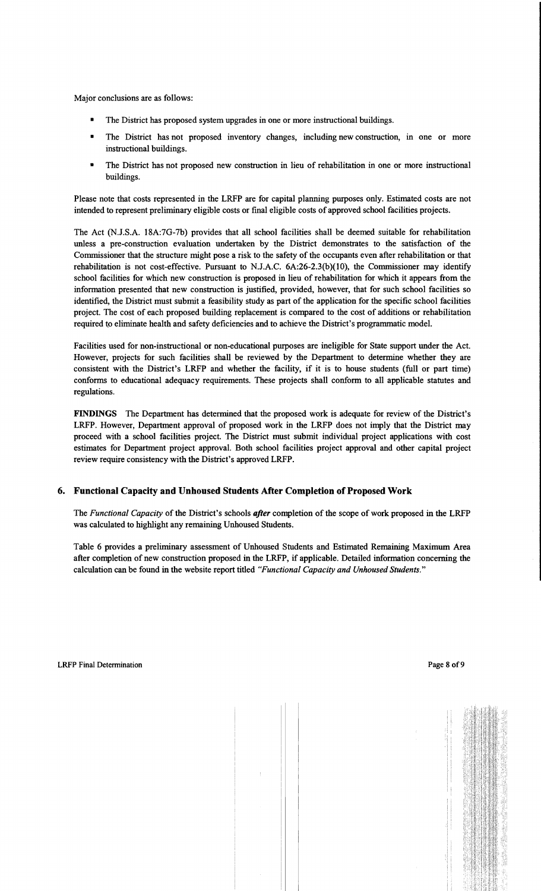Major conclusions are as follows:

- The District has proposed system upgrades in one or more instructional buildings.
- The District has not proposed inventory changes, including new construction, in one or more instructional buildings.
- The District has not proposed new construction in lieu of rehabilitation in one or more instructional buildings.

Please note that costs represented in the LRFP are for capital planning purposes only. Estimated costs are not intended to represent preliminary eligible costs or fmal eligible costs of approved school facilities projects.

The Act (NJ.S.A. 18A:7G-7b) provides that all school facilities shall be deemed suitable for rehabilitation unless a pre-construction evaluation undertaken by the District demonstrates to the satisfaction of the Commissioner that the structure might pose a risk to the safety of the occupants even after rehabilitation or that rehabilitation is not cost-effective. Pursuant to N.lA.C. 6A:26-2.3(b)(IO), the Commissioner may identify school facilities for which new construction is proposed in lieu of rehabilitation for which it appears from the information presented that new construction is justified, provided, however, that for such school facilities so identified, the District must submit a feasibility study as part of the application for the specific school facilities project. The cost of each proposed building replacement is compared to the cost of additions or rehabilitation required to eliminate health and safety deficiencies and to achieve the District's programmatic model.

Facilities used for non-instructional or non-educational purposes are ineligible for State support under the Act. However, projects for such facilities shall be reviewed by the Department to determine whether they are consistent with the District's LRFP and whether the facility, if it is to house students (full or part time) conforms to educational adequacy requirements. These projects shall conform to all applicable statutes and regulations.

**FINDINGS** The Department has determined that the proposed work is adequate for review of the District's LRFP. However, Department approval of proposed work in the LRFP does not imply that the District may proceed with a school facilities project. The District must submit individual project applications with cost estimates for Department project approval. Both school facilities project approval and other capital project review require consistency with the District's approved LRFP.

## **6. Functional Capacity and Unhoused Students After Completion** of Proposed **Work**

The *Functional Capacity* of the District's schools *after* completion of the scope of work proposed in the LRFP was calculated to highlight any remaining Unhoused Students.

Table 6 provides a preliminary assessment of Unhoused Students and Estimated Remaining Maximum Area after completion of new construction proposed in the LRFP, if applicable. Detailed information concerning the calculation can be found in the website report titled "Functional Capacity and Unhoused Students."